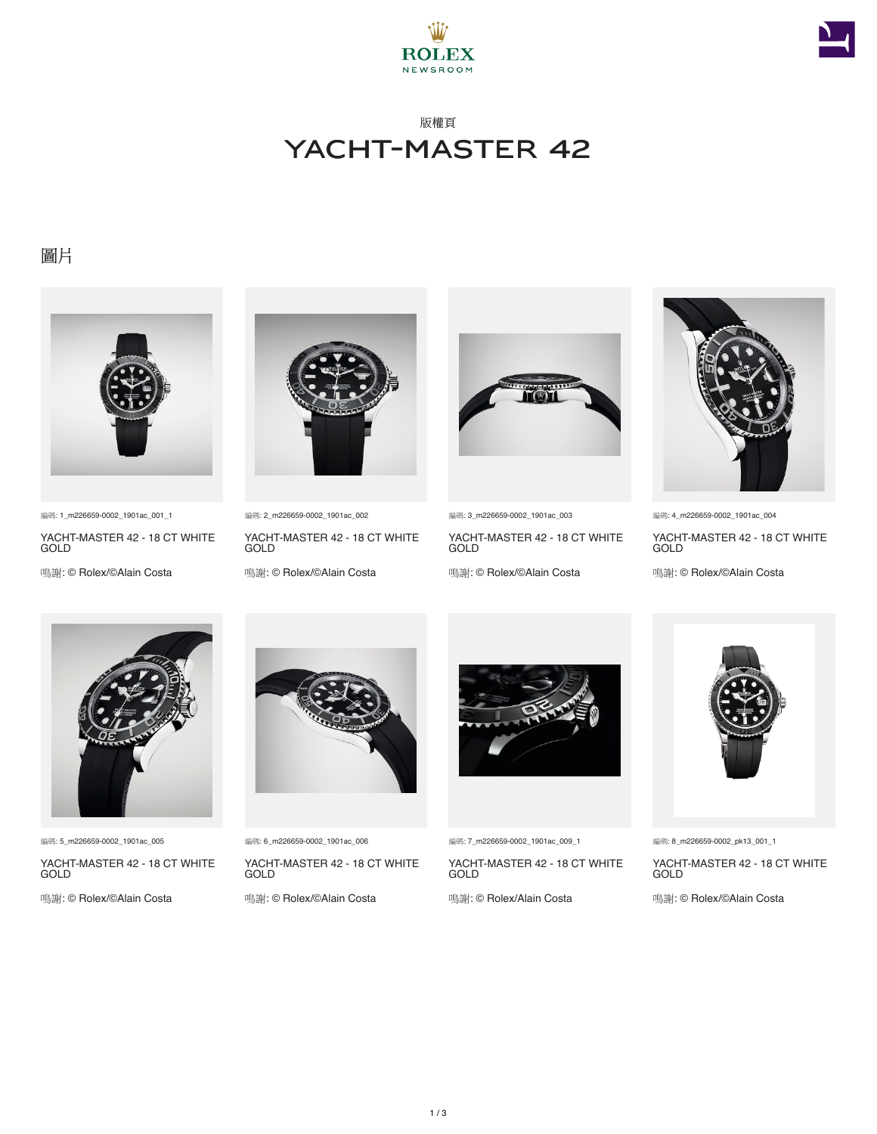



# 版權頁 YACHT-MASTER 42

### 圖片



編碼: 1\_m226659-0002\_1901ac\_001\_1

YACHT-MASTER 42 - 18 CT WHITE **GOLD** 

鳴謝: © Rolex/©Alain Costa



編碼: 2\_m226659-0002\_1901ac\_002

YACHT-MASTER 42 - 18 CT WHITE GOLD

鳴謝: © Rolex/©Alain Costa



編碼: 3\_m226659-0002\_1901ac\_003

YACHT-MASTER 42 - 18 CT WHITE **GOLD** 

鳴謝: © Rolex/©Alain Costa



編碼: 4\_m226659-0002\_1901ac\_004

YACHT-MASTER 42 - 18 CT WHITE **GOLD** 

鳴謝: © Rolex/©Alain Costa



編碼: 5\_m226659-0002\_1901ac\_005

YACHT-MASTER 42 - 18 CT WHITE GOLD

鳴謝: © Rolex/©Alain Costa



編碼: 6\_m226659-0002\_1901ac\_006

YACHT-MASTER 42 - 18 CT WHITE GOLD

鳴謝: © Rolex/©Alain Costa



編碼: 7\_m226659-0002\_1901ac\_009\_1

YACHT-MASTER 42 - 18 CT WHITE GOLD

鳴謝: © Rolex/Alain Costa



編碼: 8\_m226659-0002\_pk13\_001\_1

YACHT-MASTER 42 - 18 CT WHITE GOLD

鳴謝: © Rolex/©Alain Costa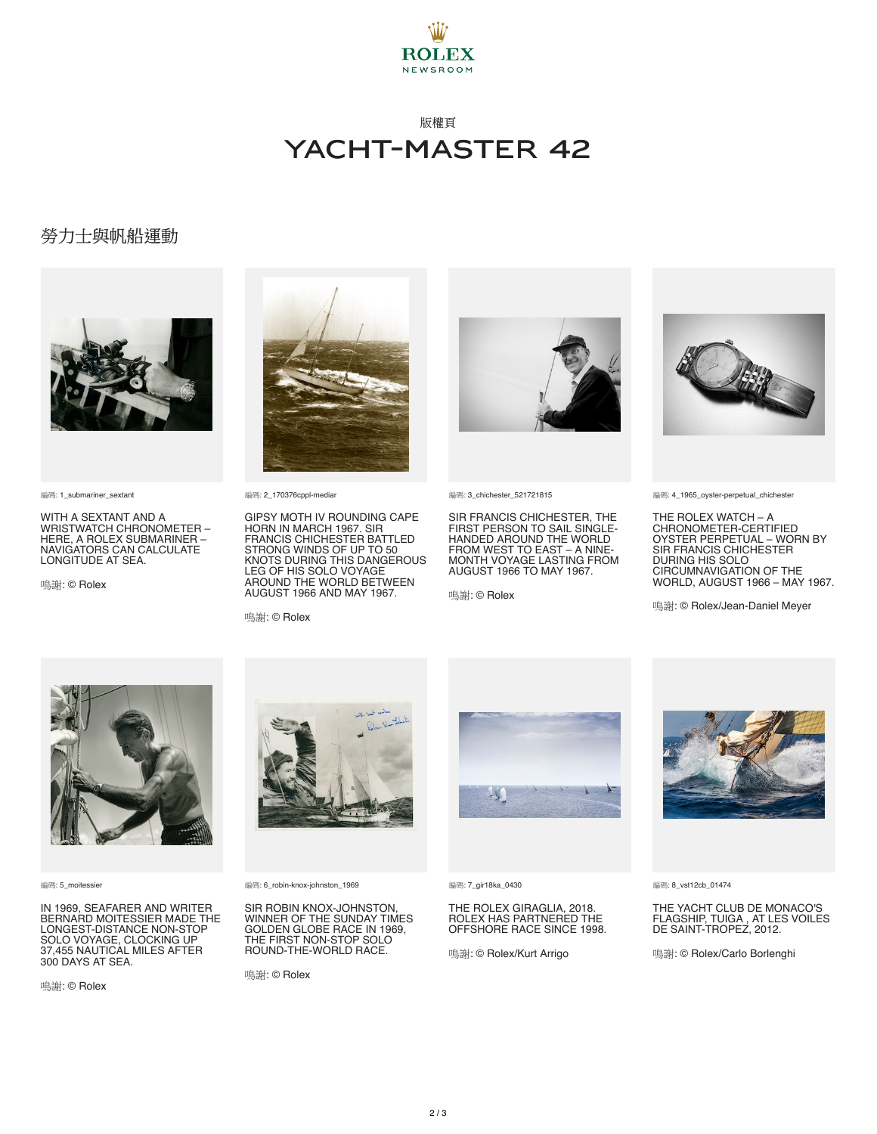

## 版權頁 YACHT-MASTER 42

#### 勞力士與帆船運動



編碼: 1\_submariner\_sextant

WITH A SEXTANT AND A WRISTWATCH CHRONOMETER – HERE, A ROLEX SUBMARINER – NAVIGATORS CAN CALCULATE LONGITUDE AT SEA.

鳴謝: © Rolex



編碼: 2\_170376cppl-mediar

GIPSY MOTH IV ROUNDING CAPE HORN IN MARCH 1967. SIR<br>FRANCIS CHICHESTER BATTLED<br>STRONG WINDS OF UP TO 50<br>KNOTS DURING THIS DANGEROUS<br>LEG OF HIS SOLO VOYAGE AROUND THE WORLD BETWEEN AUGUST 1966 AND MAY 1967.

鳴謝: © Rolex



編碼: 3\_chichester\_521721815

SIR FRANCIS CHICHESTER, THE FIRST PERSON TO SAIL SINGLE-HANDED AROUND THE WORLD FROM WEST TO EAST – A NINE-MONTH VOYAGE LASTING FROM AUGUST 1966 TO MAY 1967.

鳴謝: © Rolex



編碼: 4\_1965\_oyster-perpetual\_chichester

THE ROLEX WATCH – A CHRONOMETER-CERTIFIED OYSTER PERPETUAL – WORN BY SIR FRANCIS CHICHESTER DURING HIS SOLO CIRCUMNAVIGATION OF THE WORLD, AUGUST 1966 – MAY 1967.

鳴謝: © Rolex/Jean-Daniel Meyer



編碼: 5\_moitessier

IN 1969, SEAFARER AND WRITER BERNARD MOITESSIER MADE THE LONGEST-DISTANCE NON-STOP SOLO VOYAGE, CLOCKING UP 37,455 NAUTICAL MILES AFTER 300 DAYS AT SEA.

鳴謝: © Rolex



編碼: 6\_robin-knox-johnston\_1969

SIR ROBIN KNOX-JOHNSTON, WINNER OF THE SUNDAY TIMES GOLDEN GLOBE RACE IN 1969, THE FIRST NON-STOP SOLO ROUND-THE-WORLD RACE.

鳴謝: © Rolex



編碼: 7\_gir18ka\_0430

THE ROLEX GIRAGLIA, 2018. ROLEX HAS PARTNERED THE OFFSHORE RACE SINCE 1998.

鳴謝: © Rolex/Kurt Arrigo



編碼: 8\_vst12cb\_01474

THE YACHT CLUB DE MONACO'S FLAGSHIP, TUIGA , AT LES VOILES DE SAINT-TROPEZ, 2012.

鳴謝: © Rolex/Carlo Borlenghi